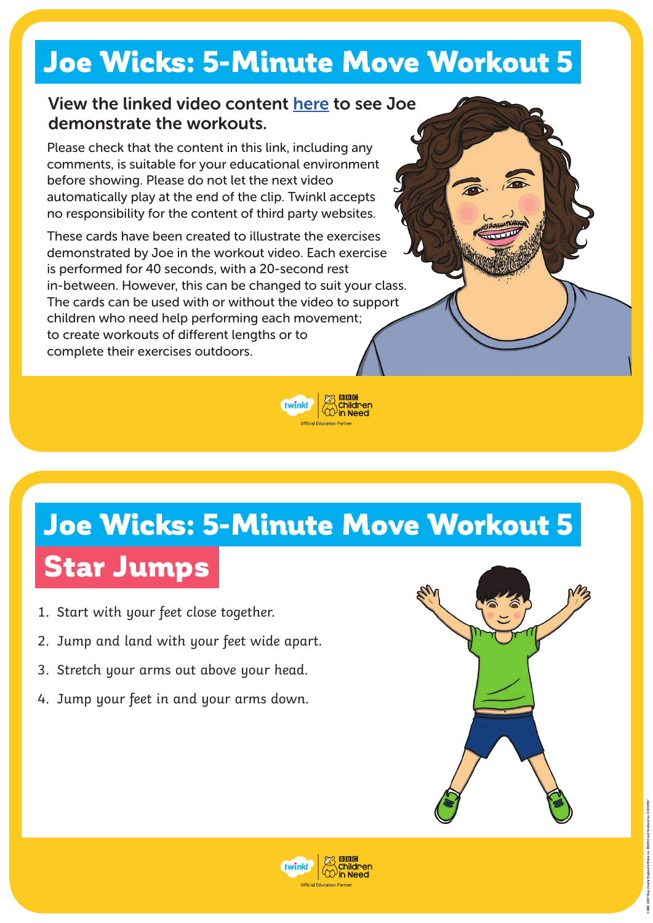#### Joe Wicks: 5-Minute Move Workout 5

#### **View the linked video content [here](https://www.twinkl.co.uk/resources/twinkl-move/joe-wicks-twinkl-move) to see Joe demonstrate the workouts.**

Please check that the content in this link, including any comments, is suitable for your educational environment before showing. Please do not let the next video automatically play at the end of the clip. Twinkl accepts no responsibility for the content of third party websites.

These cards have been created to illustrate the exercises demonstrated by Joe in the workout video. Each exercise is performed for 40 seconds, with a 20-second rest in-between. However, this can be changed to suit your class. The cards can be used with or without the video to support children who need help performing each movement; to create workouts of different lengths or to complete their exercises outdoors.



## Joe Wicks: 5-Minute Move Workout 5 Star Jumps

- 1. Start with your feet close together.
- 2. Jump and land with your feet wide apart.
- 3. Stretch your arms out above your head.
- 4. Jump your feet in and your arms down.



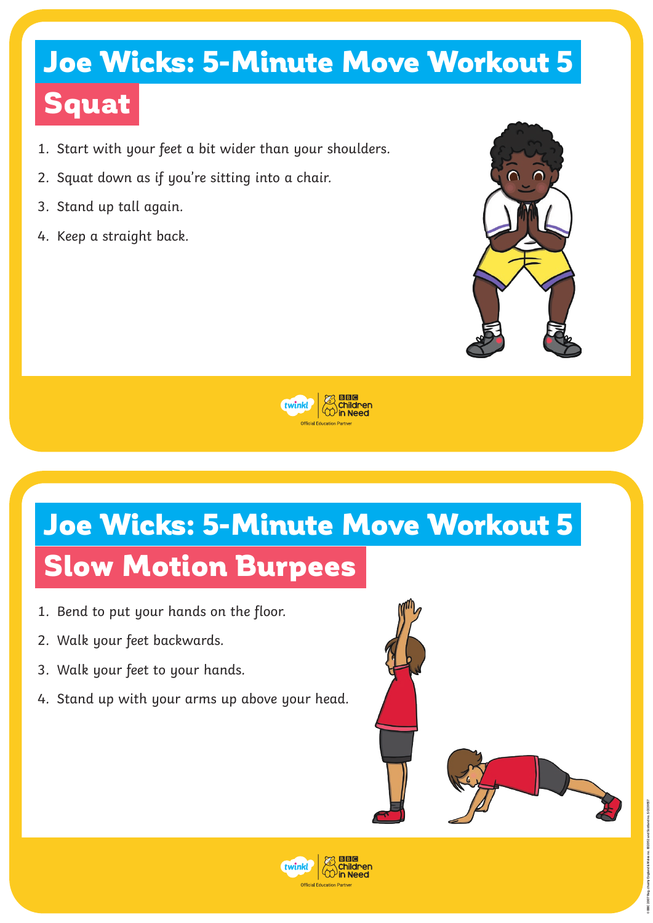# Joe Wicks: 5-Minute Move Workout 5

### Squat

- 1. Start with your feet a bit wider than your shoulders.
- 2. Squat down as if you're sitting into a chair.
- 3. Stand up tall again.
- 4. Keep a straight back.





# Joe Wicks: 5-Minute Move Workout 5 Slow Motion Burpees

- 1. Bend to put your hands on the floor.
- 2. Walk your feet backwards.
- 3. Walk your feet to your hands.
- 4. Stand up with your arms up above your head.



**© BBC 2007 Reg. charity England & Wales no. 802052 and Scotland no. SC039557**